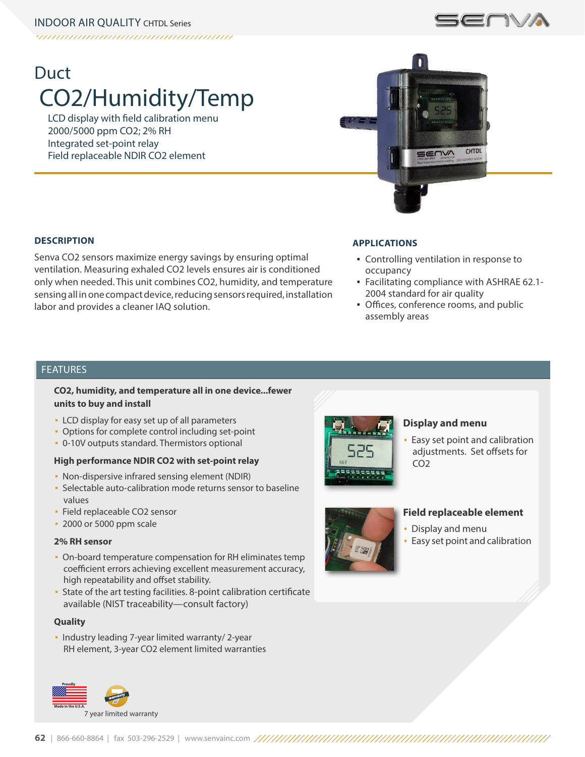# Duct CO2/Humidity/Temp

LCD display with field calibration menu 2000/5000 ppm CO2; 2% RH Integrated set-point relay Field replaceable NDIR CO2 element



**SOVA** 

## **DESCRIPTION**

Senva CO2 sensors maximize energy savings by ensuring optimal ventilation. Measuring exhaled CO2 levels ensures air is conditioned only when needed. This unit combines CO2, humidity, and temperature sensing all in one compact device, reducing sensors required, installation labor and provides a cleaner IAQ solution.

#### **APPLICATIONS**

- Controlling ventilation in response to occupancy
- Facilitating compliance with ASHRAE 62.1- 2004 standard for air quality
- **Offices, conference rooms, and public** assembly areas

# FEATURES

## **CO2, humidity, and temperature all in one device...fewer units to buy and install**

- **EXECO** display for easy set up of all parameters
- **Options for complete control including set-point**
- 0-10V outputs standard. Thermistors optional

#### **High performance NDIR CO2 with set-point relay**

- Non-dispersive infrared sensing element (NDIR)
- **Selectable auto-calibration mode returns sensor to baseline** values
- **· Field replaceable CO2 sensor**
- 2000 or 5000 ppm scale

#### **2% RH sensor**

- On-board temperature compensation for RH eliminates temp coefficient errors achieving excellent measurement accuracy, high repeatability and offset stability.
- State of the art testing facilities. 8-point calibration certificate available (NIST traceability—consult factory)

#### **Quality**

▪ Industry leading 7-year limited warranty/ 2-year RH element, 3-year CO2 element limited warranties





#### **Display and menu**

Easy set point and calibration adjustments. Set offsets for CO2



#### **Field replaceable element**

- Display and menu
- **Easy set point and calibration**